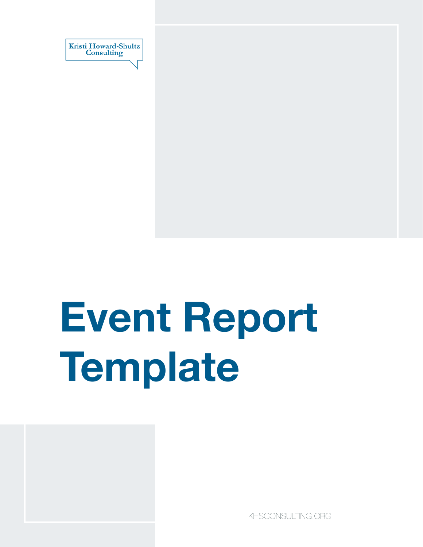

# **Event Report Template**



[KHSCONSULTING.ORG](https://www.khsconsulting.org/)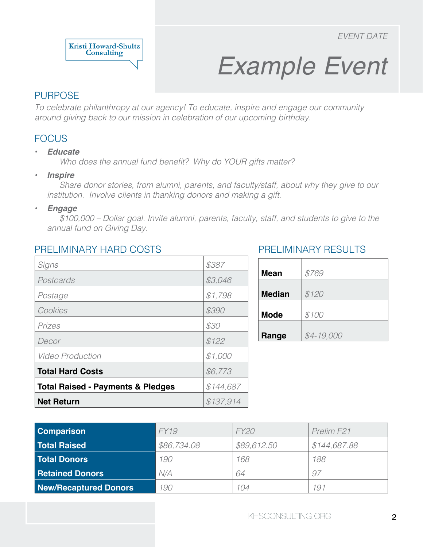

## *Example Event*

#### PURPOSE

*To celebrate philanthropy at our agency! To educate, inspire and engage our community around giving back to our mission in celebration of our upcoming birthday.*

#### **FOCUS**

#### *• Educate*

Who does the annual fund benefit? Why do YOUR gifts matter?

*• Inspire*

*Share donor stories, from alumni, parents, and faculty/staff, about why they give to our institution. Involve clients in thanking donors and making a gift.* 

*• Engage*

*\$100,000 – Dollar goal. Invite alumni, parents, faculty, staff, and students to give to the annual fund on Giving Day.* 

#### PRELIMINARY HARD COSTS

| Signs                                        | \$387     |
|----------------------------------------------|-----------|
| Postcards                                    | \$3,046   |
| Postage                                      | \$1,798   |
| Cookies                                      | \$390     |
| Prizes                                       | \$30      |
| Decor                                        | \$122     |
| <i><b>Video Production</b></i>               | \$1,000   |
| <b>Total Hard Costs</b>                      | \$6,773   |
| <b>Total Raised - Payments &amp; Pledges</b> | \$144,687 |
| <b>Net Return</b>                            | \$137,914 |

#### PRELIMINARY RESULTS

| <b>Mean</b>   | \$769       |
|---------------|-------------|
| <b>Median</b> | \$120       |
| <b>Mode</b>   | \$100       |
| Range         | $$4-19,000$ |

| <b>Comparison</b>            | FY19        | <i>FY20</i> | Prelim F <sub>21</sub> |
|------------------------------|-------------|-------------|------------------------|
| <b>Total Raised</b>          | \$86,734.08 | \$89,612.50 | \$144,687.88           |
| <b>Total Donors</b>          | 190         | 168         | 188                    |
| <b>Retained Donors</b>       | N/A         | 64          | 97                     |
| <b>New/Recaptured Donors</b> | 190         | 104         | 191                    |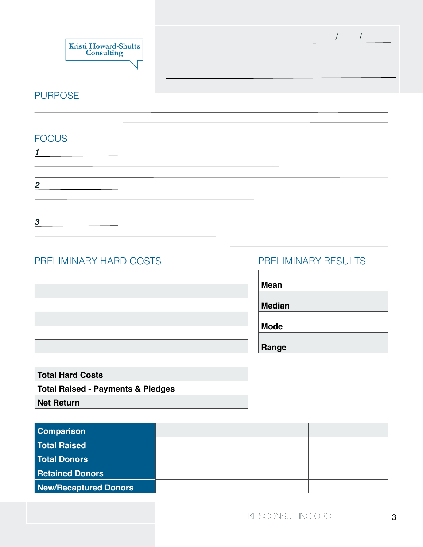

/ /

#### PURPOSE

#### FOCUS

| $\boldsymbol{2}$ |  |  |  |
|------------------|--|--|--|
|                  |  |  |  |
|                  |  |  |  |
| 3                |  |  |  |

#### PRELIMINARY HARD COSTS

| <b>Total Hard Costs</b>                      |  |
|----------------------------------------------|--|
| <b>Total Raised - Payments &amp; Pledges</b> |  |
| <b>Net Return</b>                            |  |

#### PRELIMINARY RESULTS

| <b>Mean</b>   |  |
|---------------|--|
| <b>Median</b> |  |
| <b>Mode</b>   |  |
| Range         |  |

| <b>Comparison</b>            |  |  |
|------------------------------|--|--|
| <b>Total Raised</b>          |  |  |
| <b>Total Donors</b>          |  |  |
| <b>Retained Donors</b>       |  |  |
| <b>New/Recaptured Donors</b> |  |  |